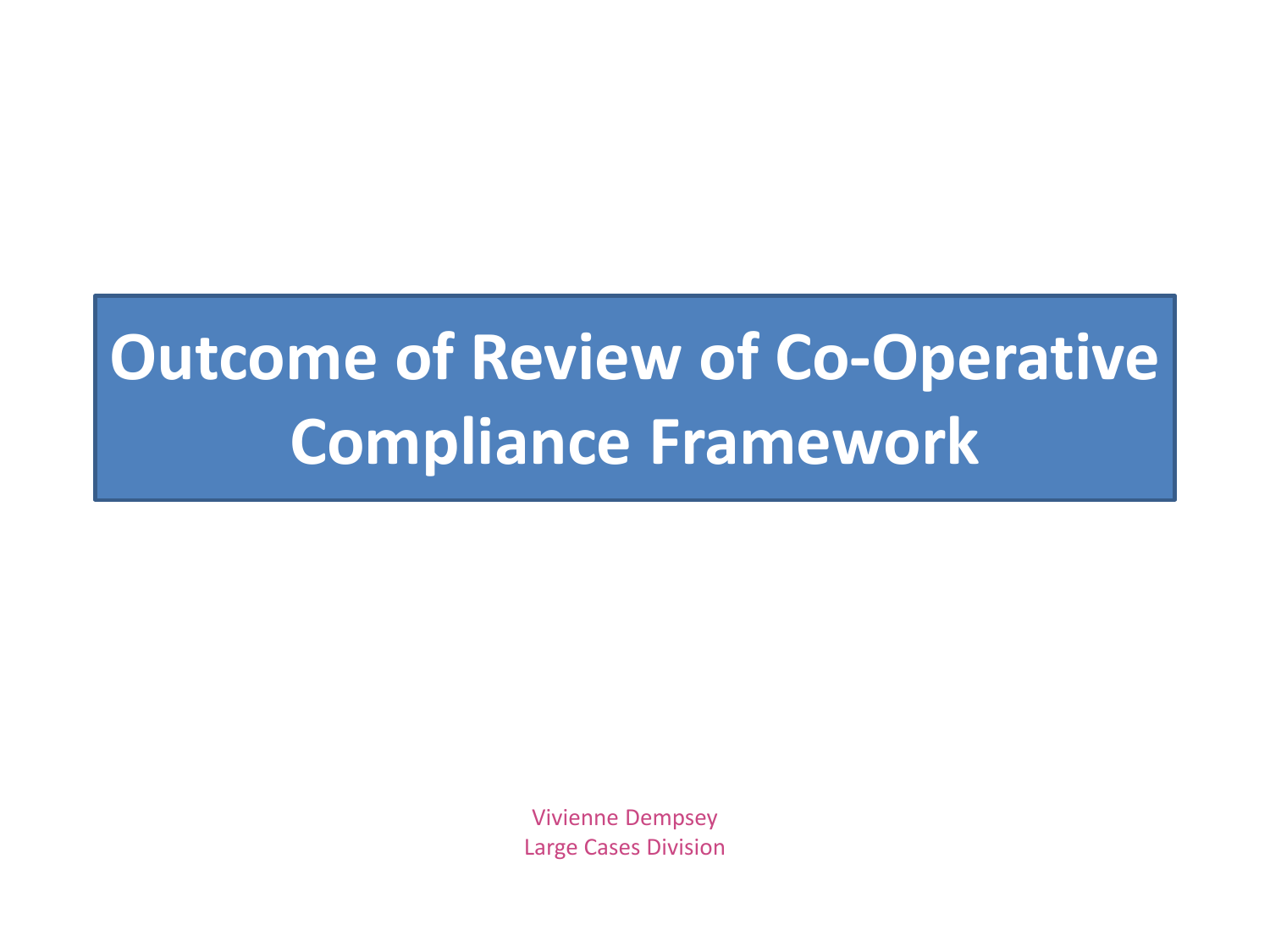## **Outcome of Review of Co-Operative Compliance Framework**

Vivienne Dempsey Large Cases Division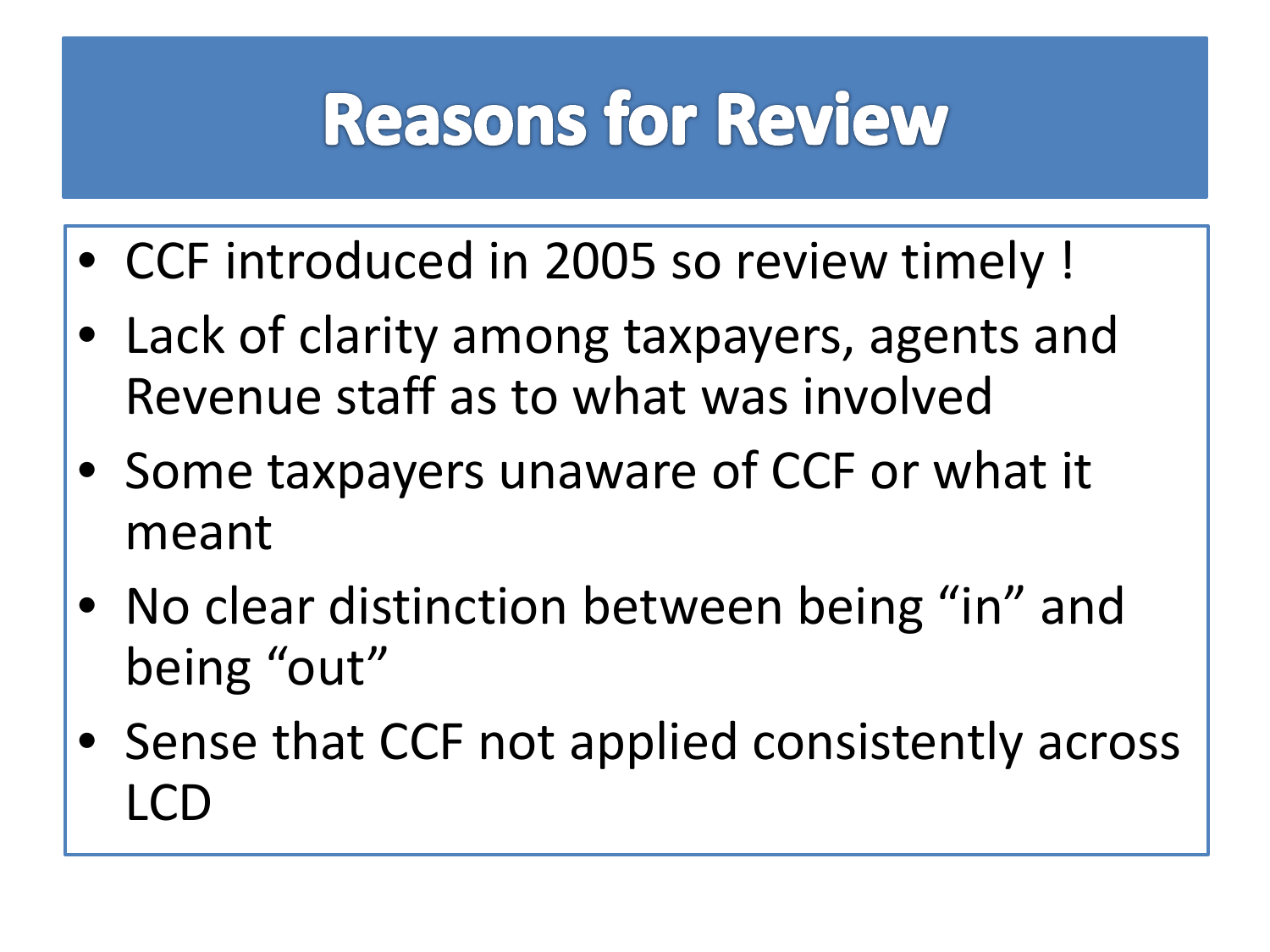## **Reasons for Review**

- CCF introduced in 2005 so review timely !
- Lack of clarity among taxpayers, agents and Revenue staff as to what was involved
- Some taxpayers unaware of CCF or what it meant
- No clear distinction between being "in" and being "out"
- Sense that CCF not applied consistently across LCD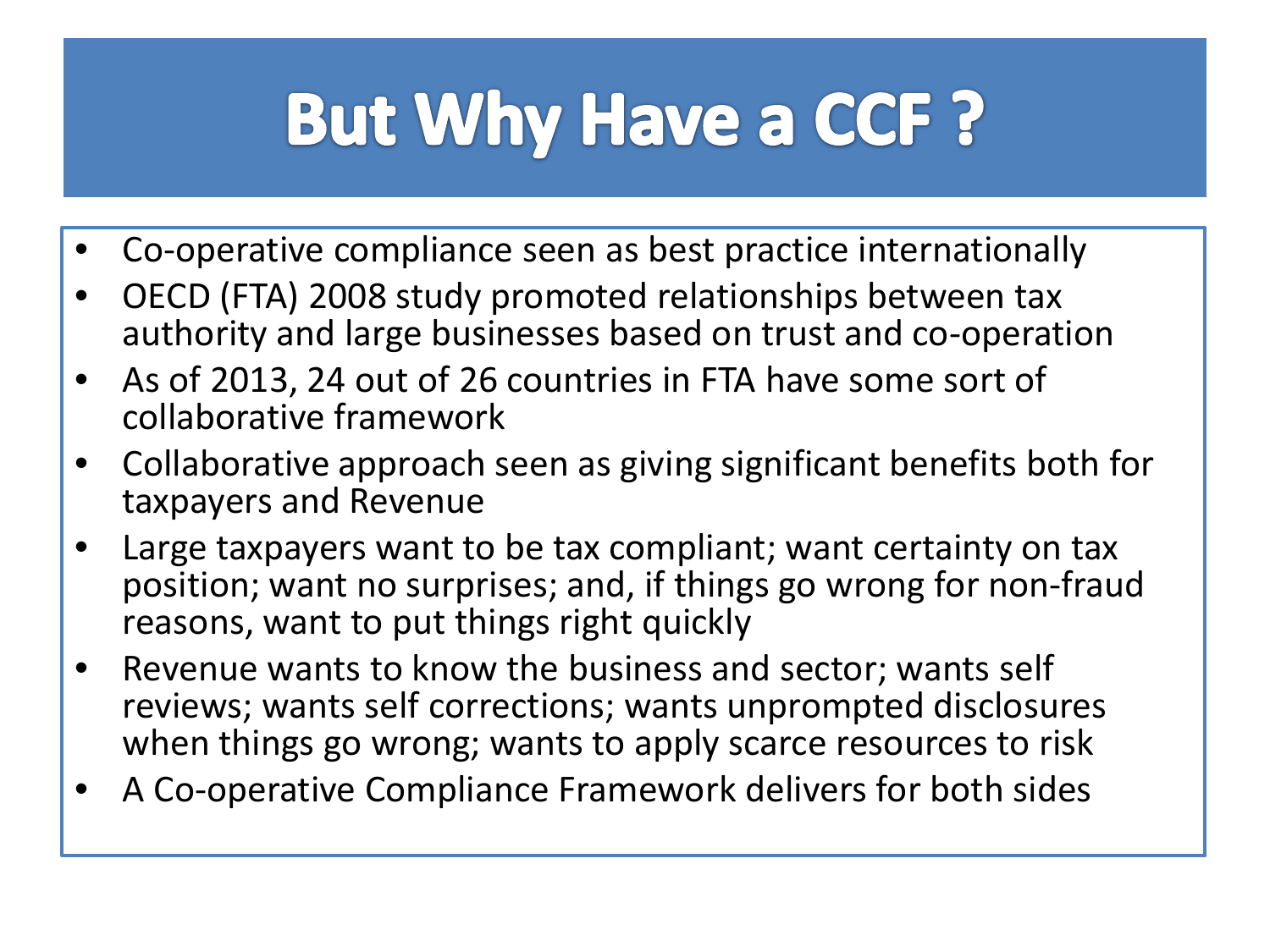# **But Why Have a CCF?**

- Co-operative compliance seen as best practice internationally
- OECD (FTA) 2008 study promoted relationships between tax authority and large businesses based on trust and co-operation
- As of 2013, 24 out of 26 countries in FTA have some sort of collaborative framework
- Collaborative approach seen as giving significant benefits both for taxpayers and Revenue
- Large taxpayers want to be tax compliant; want certainty on tax position; want no surprises; and, if things go wrong for non-fraud reasons, want to put things right quickly
- Revenue wants to know the business and sector; wants self reviews; wants self corrections; wants unprompted disclosures when things go wrong; wants to apply scarce resources to risk
- A Co-operative Compliance Framework delivers for both sides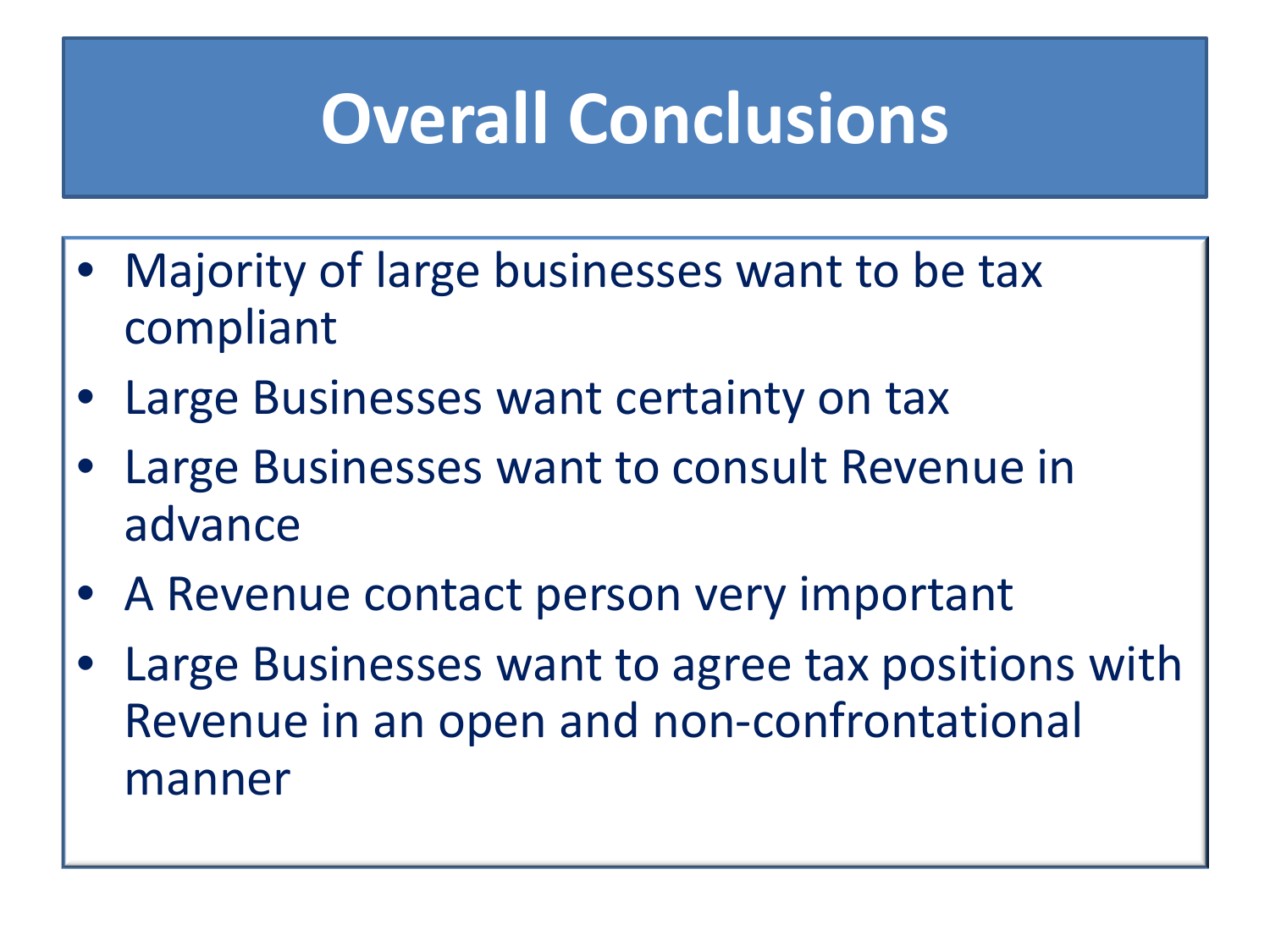## **Overall Conclusions**

- Majority of large businesses want to be tax compliant
- Large Businesses want certainty on tax
- Large Businesses want to consult Revenue in advance
- A Revenue contact person very important
- Large Businesses want to agree tax positions with Revenue in an open and non-confrontational manner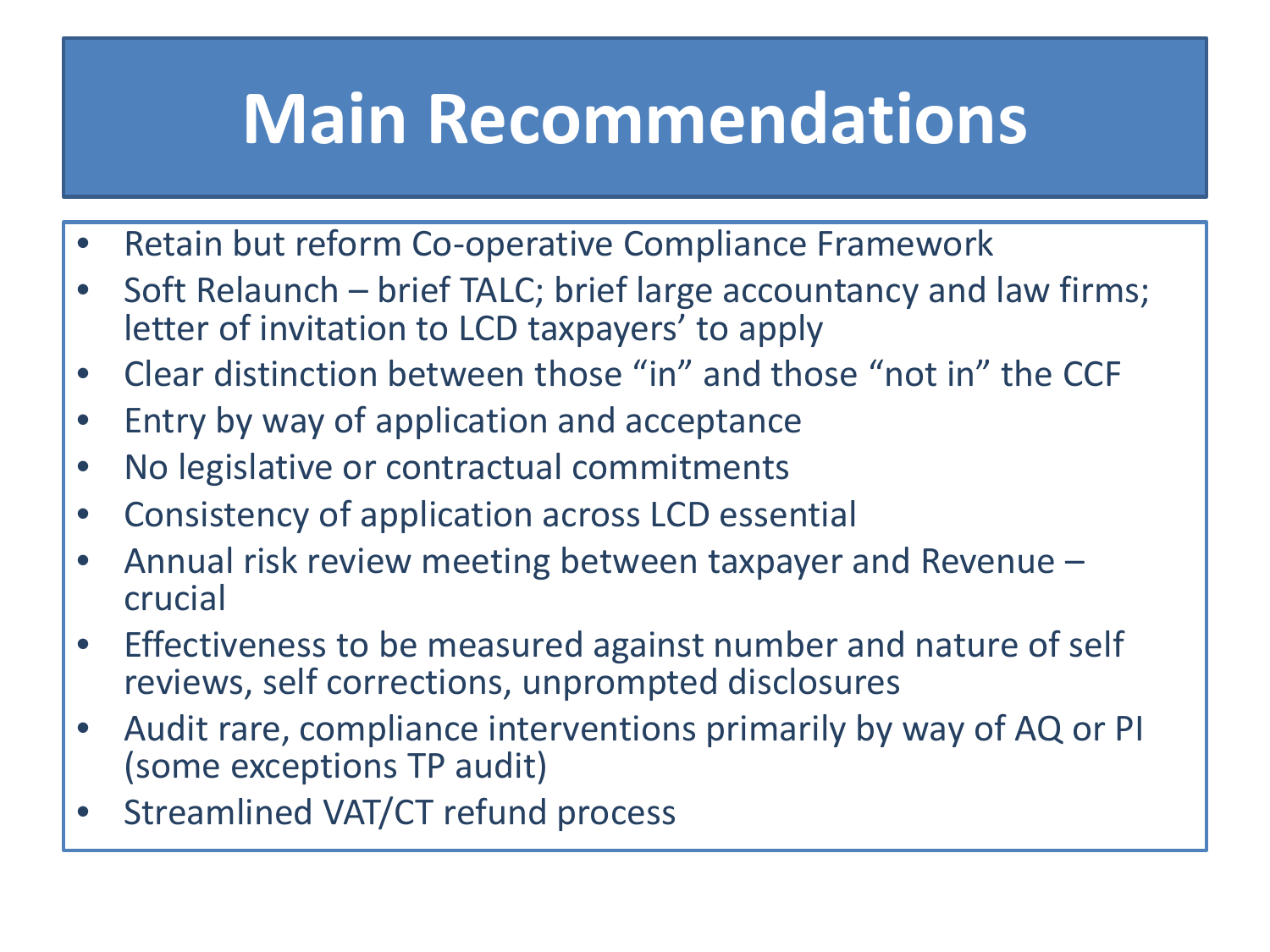### **Main Recommendations**

- Retain but reform Co-operative Compliance Framework
- Soft Relaunch brief TALC; brief large accountancy and law firms; letter of invitation to LCD taxpayers' to apply
- Clear distinction between those "in" and those "not in" the CCF
- Entry by way of application and acceptance
- No legislative or contractual commitments
- Consistency of application across LCD essential
- Annual risk review meeting between taxpayer and Revenue crucial
- Effectiveness to be measured against number and nature of self reviews, self corrections, unprompted disclosures
- Audit rare, compliance interventions primarily by way of AQ or PI (some exceptions TP audit)
- Streamlined VAT/CT refund process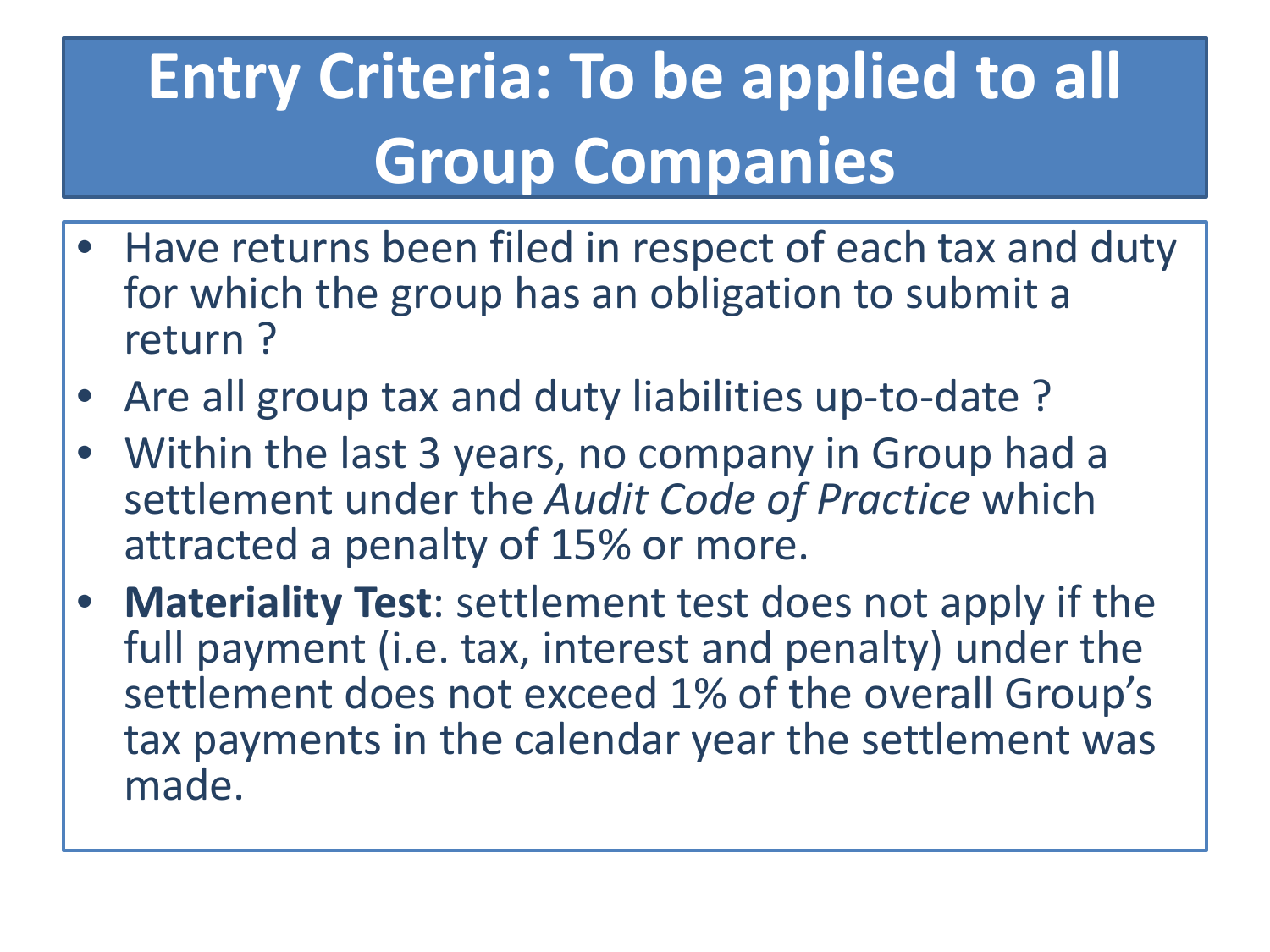## **Entry Criteria: To be applied to all Group Companies**

- Have returns been filed in respect of each tax and duty for which the group has an obligation to submit a return ?
- Are all group tax and duty liabilities up-to-date?
- Within the last 3 years, no company in Group had a settlement under the *Audit Code of Practice* which attracted a penalty of 15% or more.
- **Materiality Test**: settlement test does not apply if the full payment (i.e. tax, interest and penalty) under the settlement does not exceed 1% of the overall Group's tax payments in the calendar year the settlement was made.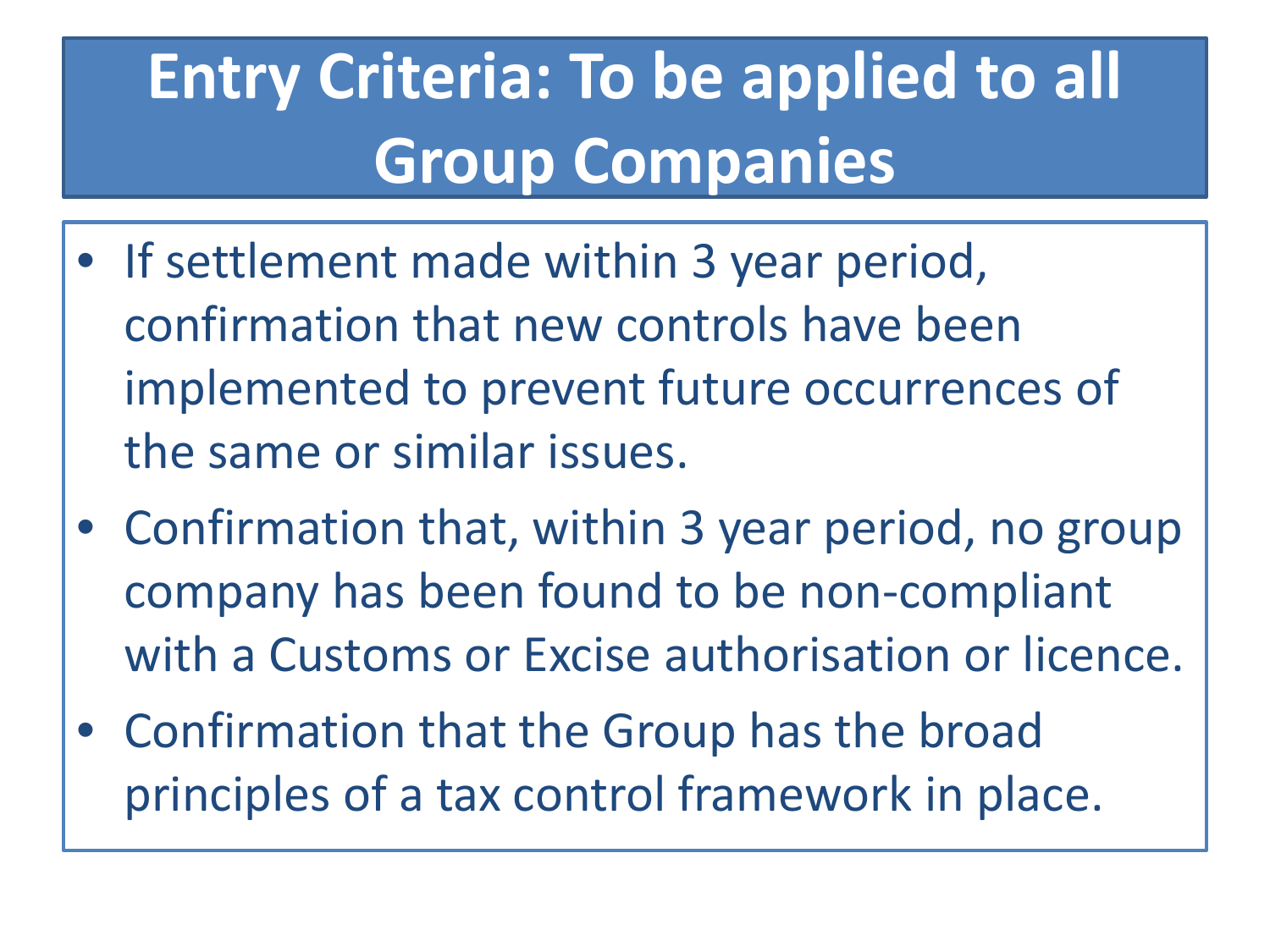## **Entry Criteria: To be applied to all Group Companies**

- If settlement made within 3 year period, confirmation that new controls have been implemented to prevent future occurrences of the same or similar issues.
- Confirmation that, within 3 year period, no group company has been found to be non-compliant with a Customs or Excise authorisation or licence.
- Confirmation that the Group has the broad principles of a tax control framework in place.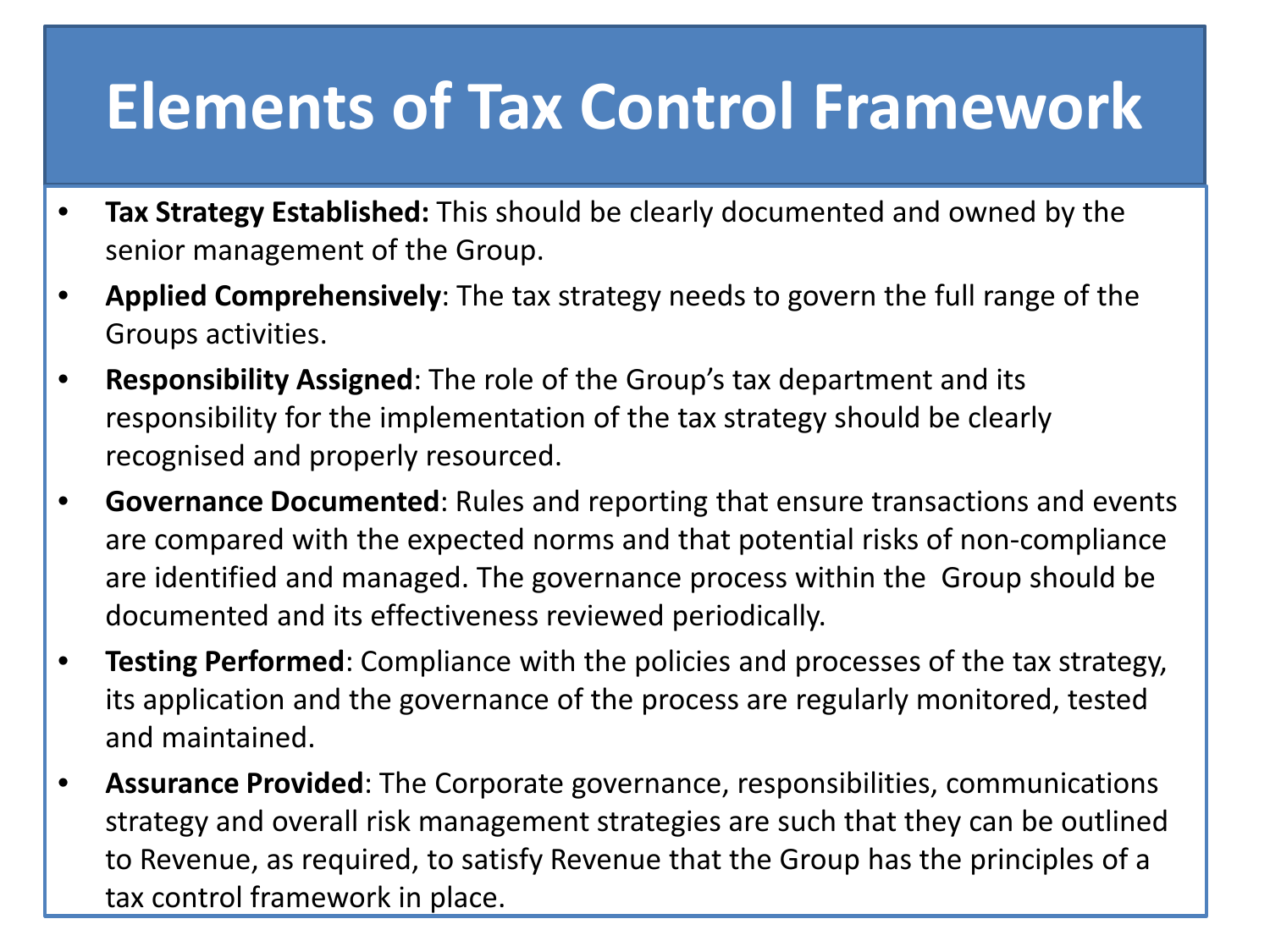#### **Elements of Tax Control Framework**

- **Tax Strategy Established:** This should be clearly documented and owned by the senior management of the Group.
- **Applied Comprehensively**: The tax strategy needs to govern the full range of the Groups activities.
- **Responsibility Assigned**: The role of the Group's tax department and its responsibility for the implementation of the tax strategy should be clearly recognised and properly resourced.
- **Governance Documented**: Rules and reporting that ensure transactions and events are compared with the expected norms and that potential risks of non-compliance are identified and managed. The governance process within the Group should be documented and its effectiveness reviewed periodically.
- **Testing Performed**: Compliance with the policies and processes of the tax strategy, its application and the governance of the process are regularly monitored, tested and maintained.
- **Assurance Provided**: The Corporate governance, responsibilities, communications strategy and overall risk management strategies are such that they can be outlined to Revenue, as required, to satisfy Revenue that the Group has the principles of a tax control framework in place.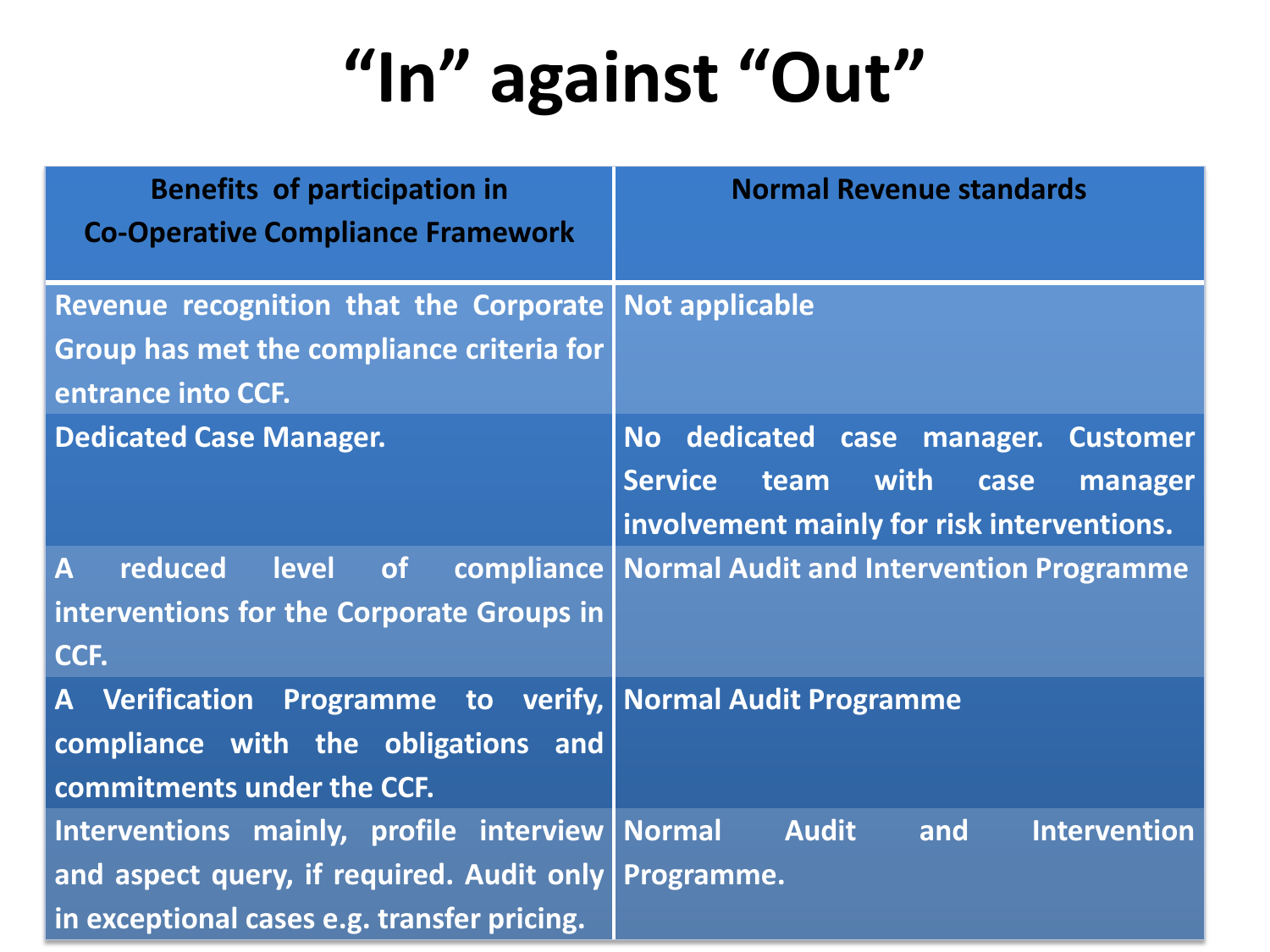# **"In" against "Out"**

| <b>Benefits of participation in</b><br><b>Co-Operative Compliance Framework</b>                                                                           | <b>Normal Revenue standards</b>                                                                                                        |
|-----------------------------------------------------------------------------------------------------------------------------------------------------------|----------------------------------------------------------------------------------------------------------------------------------------|
| Revenue recognition that the Corporate Not applicable                                                                                                     |                                                                                                                                        |
| <b>Group has met the compliance criteria for</b><br>entrance into CCF.                                                                                    |                                                                                                                                        |
| <b>Dedicated Case Manager.</b>                                                                                                                            | No dedicated case manager. Customer<br>with<br><b>Service</b><br>team<br>case<br>manager<br>involvement mainly for risk interventions. |
| $\overline{\mathsf{A}}$<br>reduced<br>level<br><b>of</b><br>interventions for the Corporate Groups in<br>CCF.                                             | compliance   Normal Audit and Intervention Programme                                                                                   |
| A Verification Programme to verify, Normal Audit Programme<br>compliance with the obligations and<br>commitments under the CCF.                           |                                                                                                                                        |
| Interventions mainly, profile interview   Normal<br>and aspect query, if required. Audit only   Programme.<br>in exceptional cases e.g. transfer pricing. | <b>Audit</b><br><b>Intervention</b><br>and                                                                                             |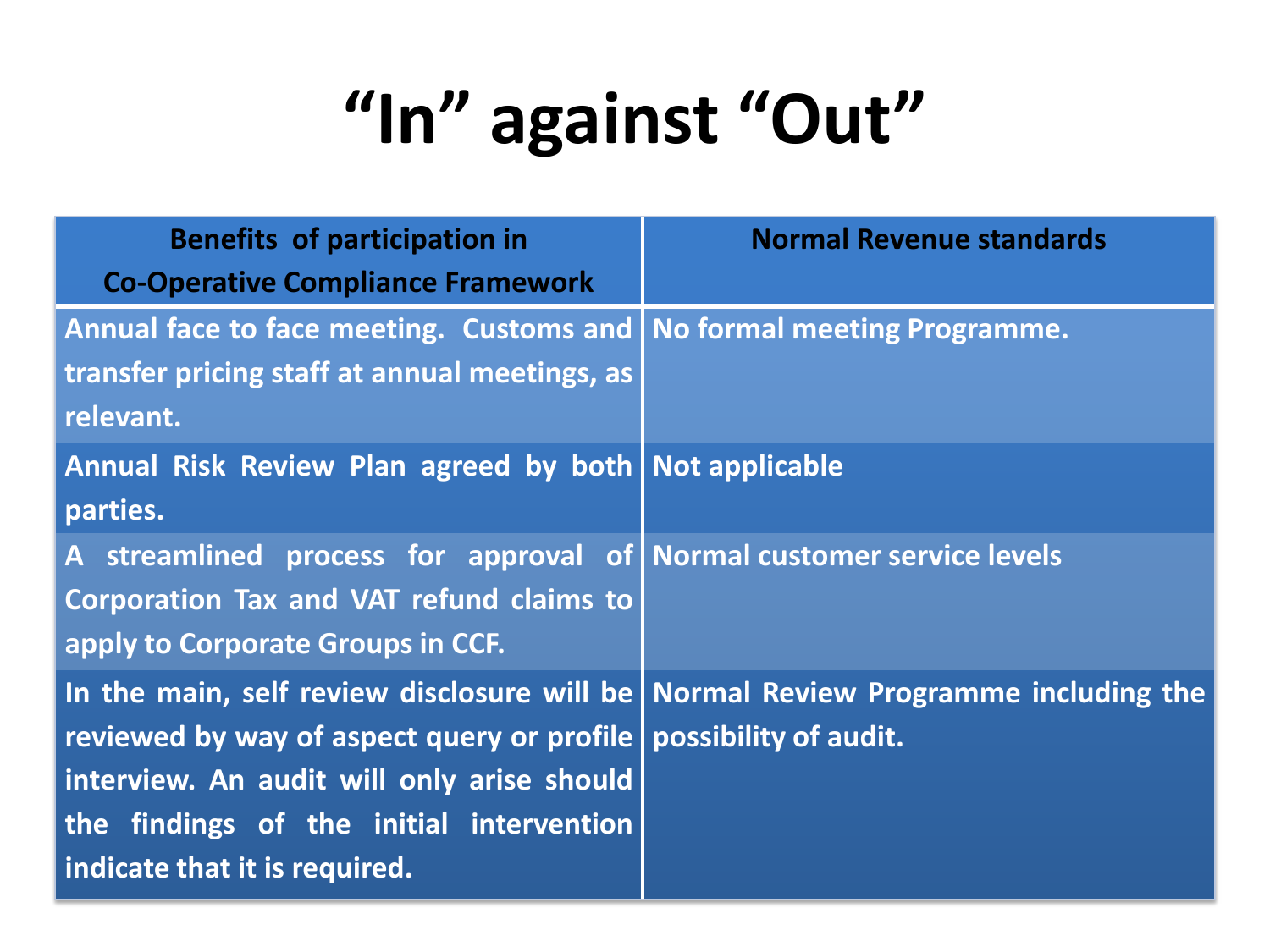# **"In" against "Out"**

| <b>Benefits of participation in</b><br><b>Co-Operative Compliance Framework</b>                                                                                                                                                                                                  | <b>Normal Revenue standards</b> |
|----------------------------------------------------------------------------------------------------------------------------------------------------------------------------------------------------------------------------------------------------------------------------------|---------------------------------|
| Annual face to face meeting. Customs and   No formal meeting Programme.<br>transfer pricing staff at annual meetings, as<br>relevant.                                                                                                                                            |                                 |
| Annual Risk Review Plan agreed by both Not applicable<br>parties.                                                                                                                                                                                                                |                                 |
| A streamlined process for approval of Normal customer service levels<br><b>Corporation Tax and VAT refund claims to</b><br>apply to Corporate Groups in CCF.                                                                                                                     |                                 |
| In the main, self review disclosure will be Normal Review Programme including the<br>reviewed by way of aspect query or profile possibility of audit.<br>interview. An audit will only arise should<br>the findings of the initial intervention<br>indicate that it is required. |                                 |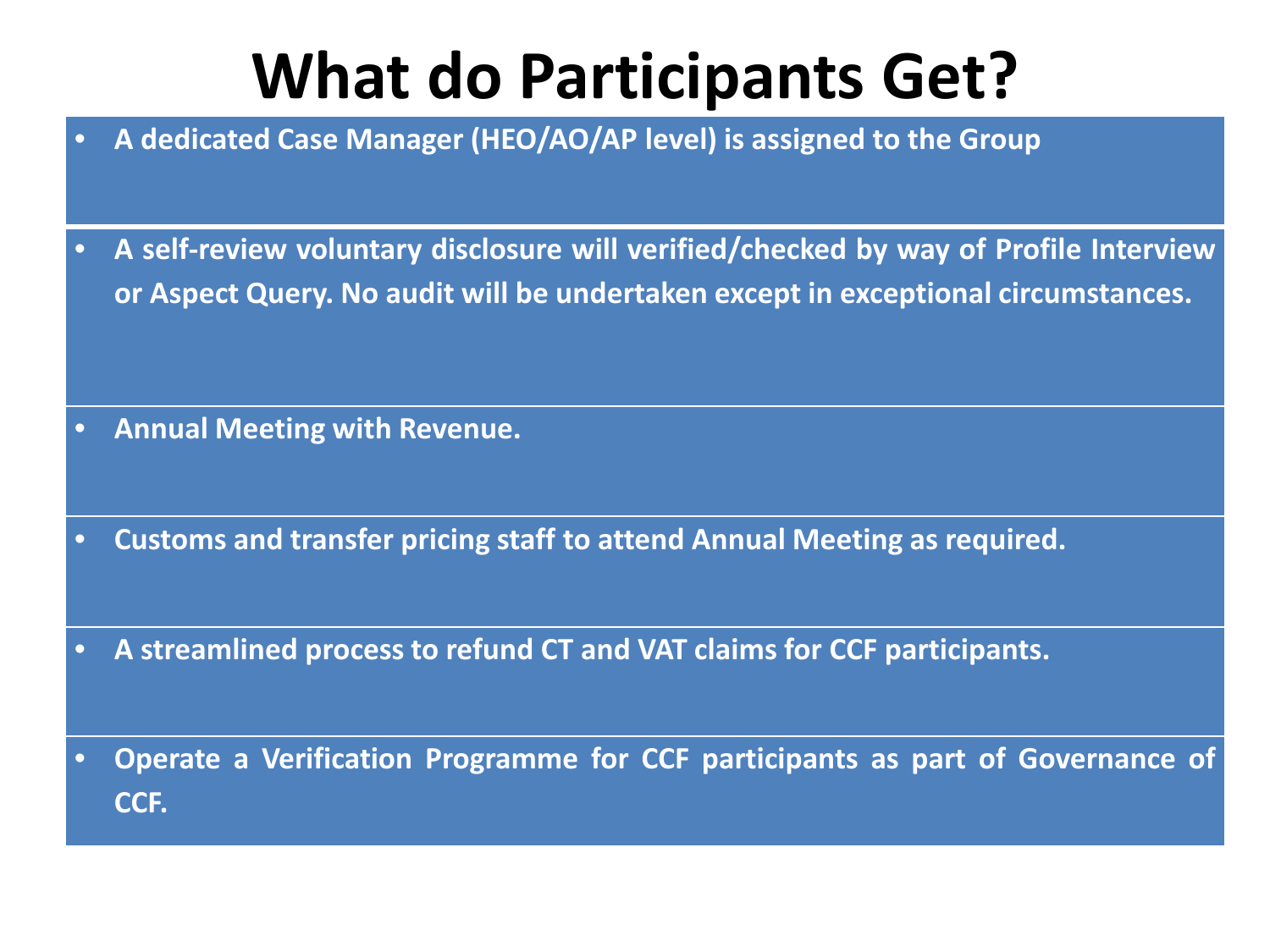### **What do Participants Get?**

- **A dedicated Case Manager (HEO/AO/AP level) is assigned to the Group**
- **A self-review voluntary disclosure will verified/checked by way of Profile Interview or Aspect Query. No audit will be undertaken except in exceptional circumstances.**

- **Annual Meeting with Revenue.**
- **Customs and transfer pricing staff to attend Annual Meeting as required.**
- **A streamlined process to refund CT and VAT claims for CCF participants.**
- **Operate a Verification Programme for CCF participants as part of Governance of CCF.**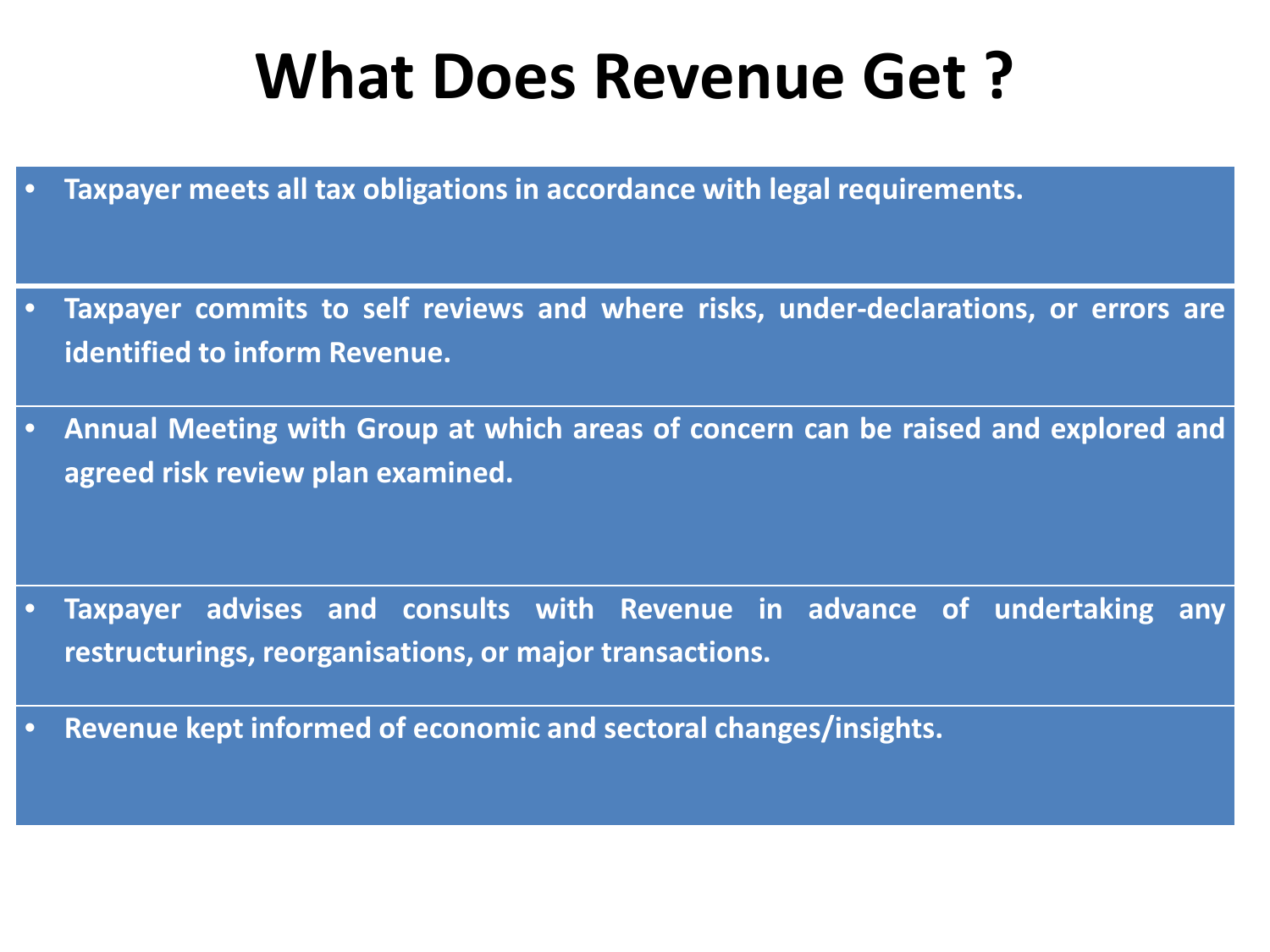#### **What Does Revenue Get ?**

- **Taxpayer meets all tax obligations in accordance with legal requirements.**
- **Taxpayer commits to self reviews and where risks, under-declarations, or errors are identified to inform Revenue.**
- **Annual Meeting with Group at which areas of concern can be raised and explored and agreed risk review plan examined.**

- **Taxpayer advises and consults with Revenue in advance of undertaking any restructurings, reorganisations, or major transactions.**
- **Revenue kept informed of economic and sectoral changes/insights.**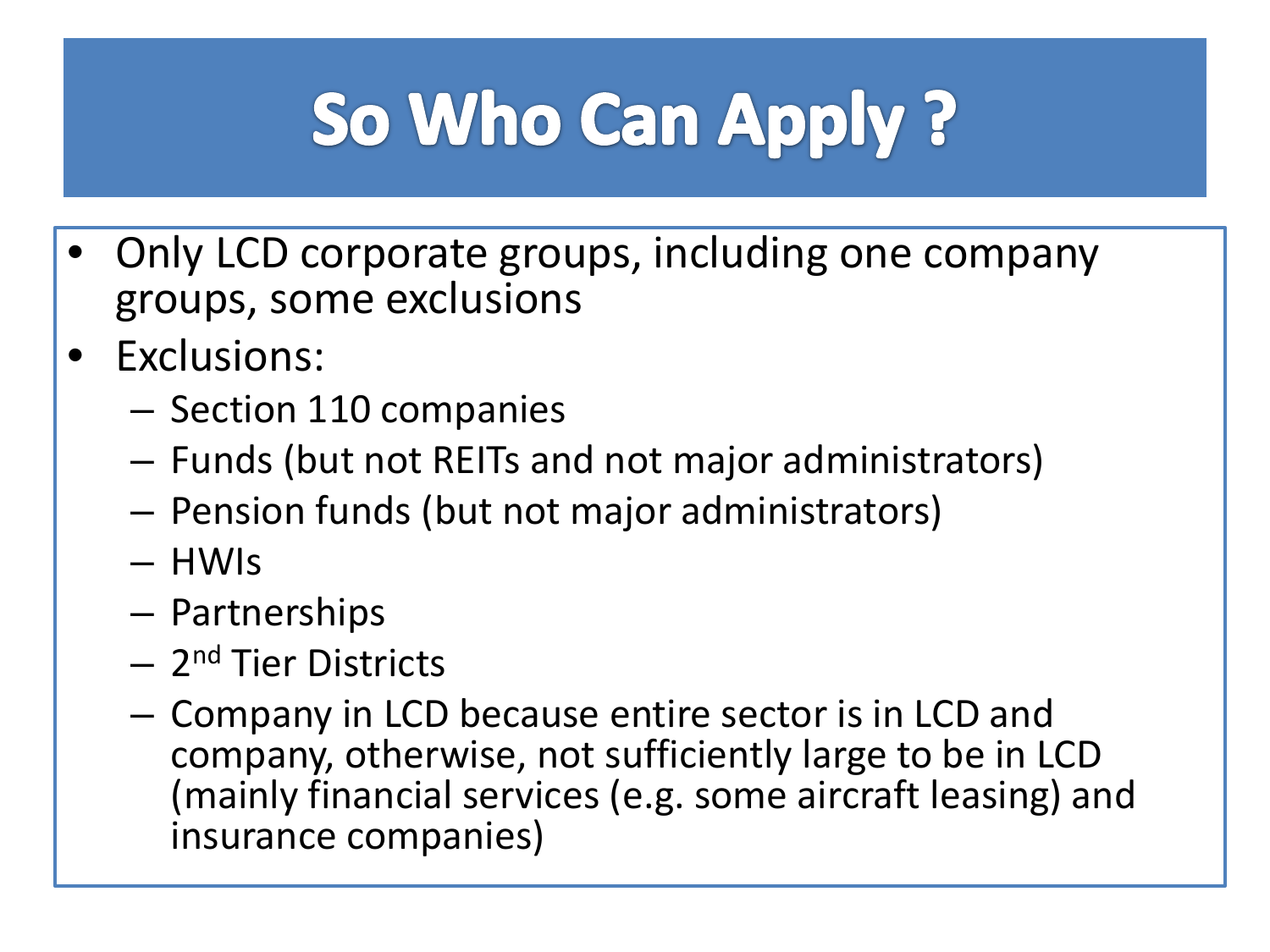# So Who Can Apply?

- Only LCD corporate groups, including one company groups, some exclusions
- Exclusions:
	- Section 110 companies
	- Funds (but not REITs and not major administrators)
	- Pension funds (but not major administrators)
	- HWIs
	- Partnerships
	- 2nd Tier Districts
	- Company in LCD because entire sector is in LCD and company, otherwise, not sufficiently large to be in LCD (mainly financial services (e.g. some aircraft leasing) and insurance companies)